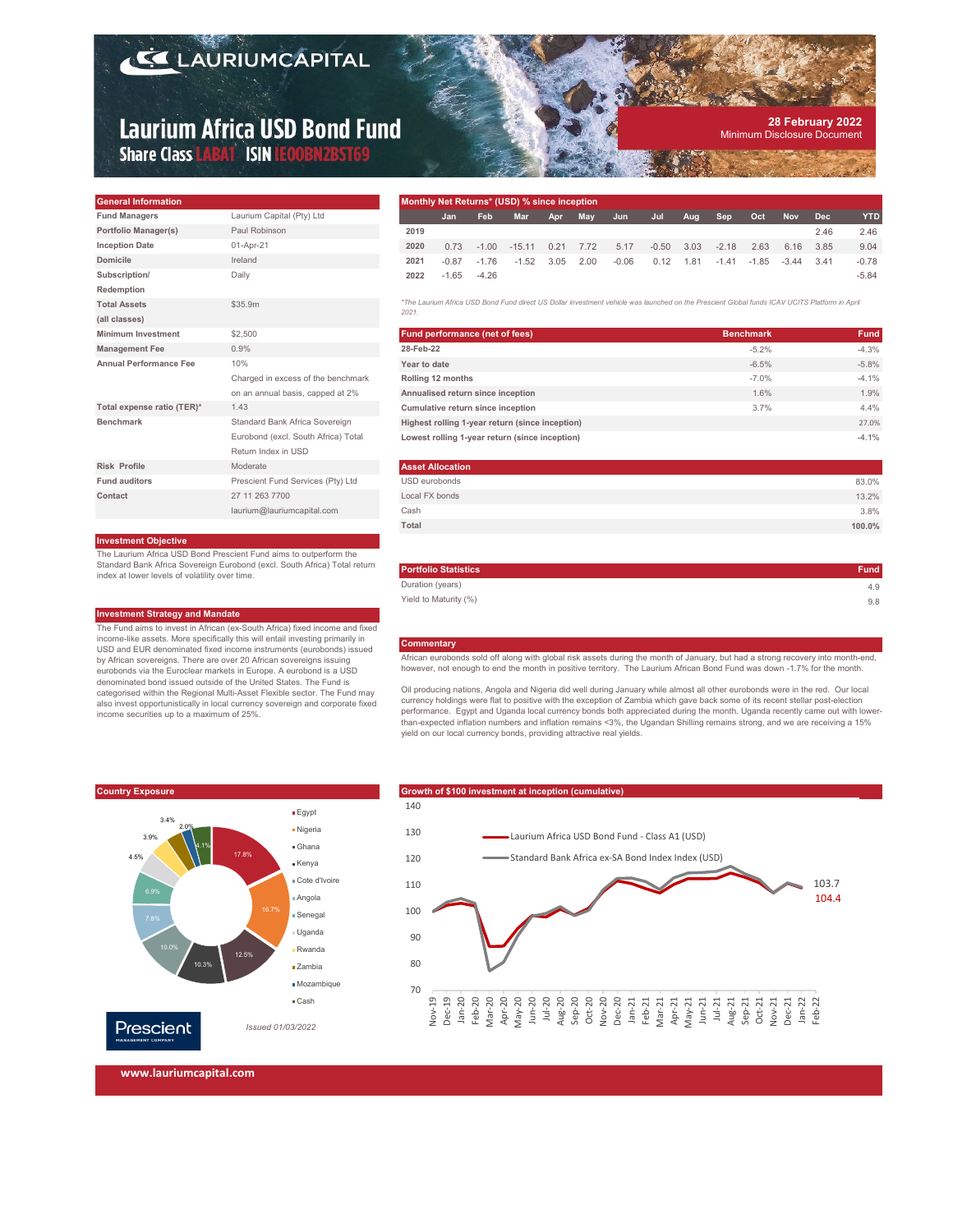# **LAURIUMCAPITAL**

# **Laurium Africa USD Bond Fund** Share Class LABAT ISIN LEOOBN2BST69

#### **28 February 2022** Minimum Disclosure Document

| <b>General Information</b>    |                                     | <b>Monthly Net R</b>        |
|-------------------------------|-------------------------------------|-----------------------------|
| <b>Fund Managers</b>          | Laurium Capital (Pty) Ltd           | Jan                         |
| Portfolio Manager(s)          | Paul Robinson                       | 2019                        |
| <b>Inception Date</b>         | 01-Apr-21                           | 2020<br>0.73                |
| Domicile                      | Ireland                             | 2021<br>$-0.87$             |
| Subscription/                 | Daily                               | 2022<br>$-1.65$             |
| Redemption                    |                                     |                             |
| <b>Total Assets</b>           | \$35.9m                             | *The Laurium Afric<br>2021. |
| (all classes)                 |                                     |                             |
| <b>Minimum Investment</b>     | \$2,500                             | <b>Fund perform</b>         |
| <b>Management Fee</b>         | 0.9%                                | 28-Feb-22                   |
| <b>Annual Performance Fee</b> | 10%                                 | Year to date                |
|                               | Charged in excess of the benchmark  | Rolling 12 mon              |
|                               | on an annual basis, capped at 2%    | <b>Annualised ret</b>       |
| Total expense ratio (TER)*    | 1.43                                | Cumulative ret              |
| <b>Benchmark</b>              | Standard Bank Africa Sovereign      | <b>Highest rolling</b>      |
|                               | Eurobond (excl. South Africa) Total | Lowest rolling              |
|                               | Return Index in USD                 |                             |
| <b>Risk Profile</b>           | Moderate                            | <b>Asset Allocati</b>       |
| Fund auditors                 | Prescient Fund Services (Pty) Ltd   | USD eurobonds               |
| Contact                       | 27 11 263 7700                      | Local FX bonds              |
|                               | laurium@lauriumcapital.com          | Cash                        |

### **Investment Objective**

The Laurium Africa USD Bond Prescient Fund aims to outperform the Standard Bank Africa Sovereign Eurobond (excl. South Africa) Total return index at lower levels of volatility over time.

#### **Investment Strategy and Mandate**

The Fund aims to invest in African (ex-South Africa) fixed income and fixed income-like assets. More specifically this will entail investing primarily in USD and EUR denominated fixed income instruments (eurobonds) issued by African sovereigns. There are over 20 African sovereigns issuing eurobonds via the Euroclear markets in Europe. A eurobond is a USD denominated bond issued outside of the United States. The Fund is categorised within the Regional Multi-Asset Flexible sector. The Fund may also invest opportunistically in local currency sovereign and corporate fixed income securities up to a maximum of 25%.

| Monthly Net Returns* (USD) % since inception |         |         |            |      |      |         |         |      |         |         |            |            |            |
|----------------------------------------------|---------|---------|------------|------|------|---------|---------|------|---------|---------|------------|------------|------------|
|                                              | Jan     | Feb     | <b>Mar</b> | Apr  | May  | Jun     | Jul     | Aug  | Sep     | Oct     | <b>Nov</b> | <b>Dec</b> | <b>YTD</b> |
| 2019                                         |         |         |            |      |      |         |         |      |         |         |            | 2.46       | 2.46       |
| 2020                                         | 0.73    | $-1.00$ | $-15.11$   | 0.21 | 7.72 | 5.17    | $-0.50$ | 3.03 | $-2.18$ | 2.63    | 6.16       | 3.85       | 9.04       |
| 2021                                         | $-0.87$ | $-1.76$ | $-1.52$    | 3.05 | 2.00 | $-0.06$ | 0.12    | 1.81 | $-1.41$ | $-1.85$ | $-3.44$    | 3.41       | $-0.78$    |
| 2022                                         | $-1.65$ | $-4.26$ |            |      |      |         |         |      |         |         |            |            | $-5.84$    |

*\*The Laurium Africa USD Bond Fund direct US Dollar investment vehicle was launched on the Prescient Global funds ICAV UCITS Platform in April* 

| 2021.                                           |                  |             |
|-------------------------------------------------|------------------|-------------|
| <b>Fund performance (net of fees)</b>           | <b>Benchmark</b> | <b>Fund</b> |
| 28-Feb-22                                       | $-5.2%$          | $-4.3%$     |
| Year to date                                    | $-6.5%$          | $-5.8%$     |
| Rolling 12 months                               | $-7.0%$          | $-4.1%$     |
| Annualised return since inception               | 1.6%             | 1.9%        |
| Cumulative return since inception               | 3.7%             | 4.4%        |
| Highest rolling 1-year return (since inception) |                  | 27.0%       |
| Lowest rolling 1-year return (since inception)  |                  | $-4.1%$     |

| <b>Asset Allocation</b> |        |
|-------------------------|--------|
| USD eurobonds           | 83.0%  |
| Local FX bonds          | 13.2%  |
| Cash                    | 3.8%   |
| Total                   | 100.0% |

| <b>Portfolio Statistics</b> | <b>Fund</b> |
|-----------------------------|-------------|
| Duration (years)            | 4.9         |
| Yield to Maturity (%)       | 9.8         |
|                             |             |

#### **Commentary**

African eurobonds sold off along with global risk assets during the month of January, but had a strong recovery into month-end, however, not enough to end the month in positive territory. The Laurium African Bond Fund was down -1.7% for the month.

Oil producing nations, Angola and Nigeria did well during January while almost all other eurobonds were in the red. Our local currency holdings were flat to positive with the exception of Zambia which gave back some of its recent stellar post-election<br>performance. Egypt and Uganda local currency bonds both appreciated during the month. Uganda re than-expected inflation numbers and inflation remains <3%, the Ugandan Shilling remains strong, and we are receiving a 15% yield on our local currency bonds, providing attractive real yields.







**www.lauriumcapital.com**